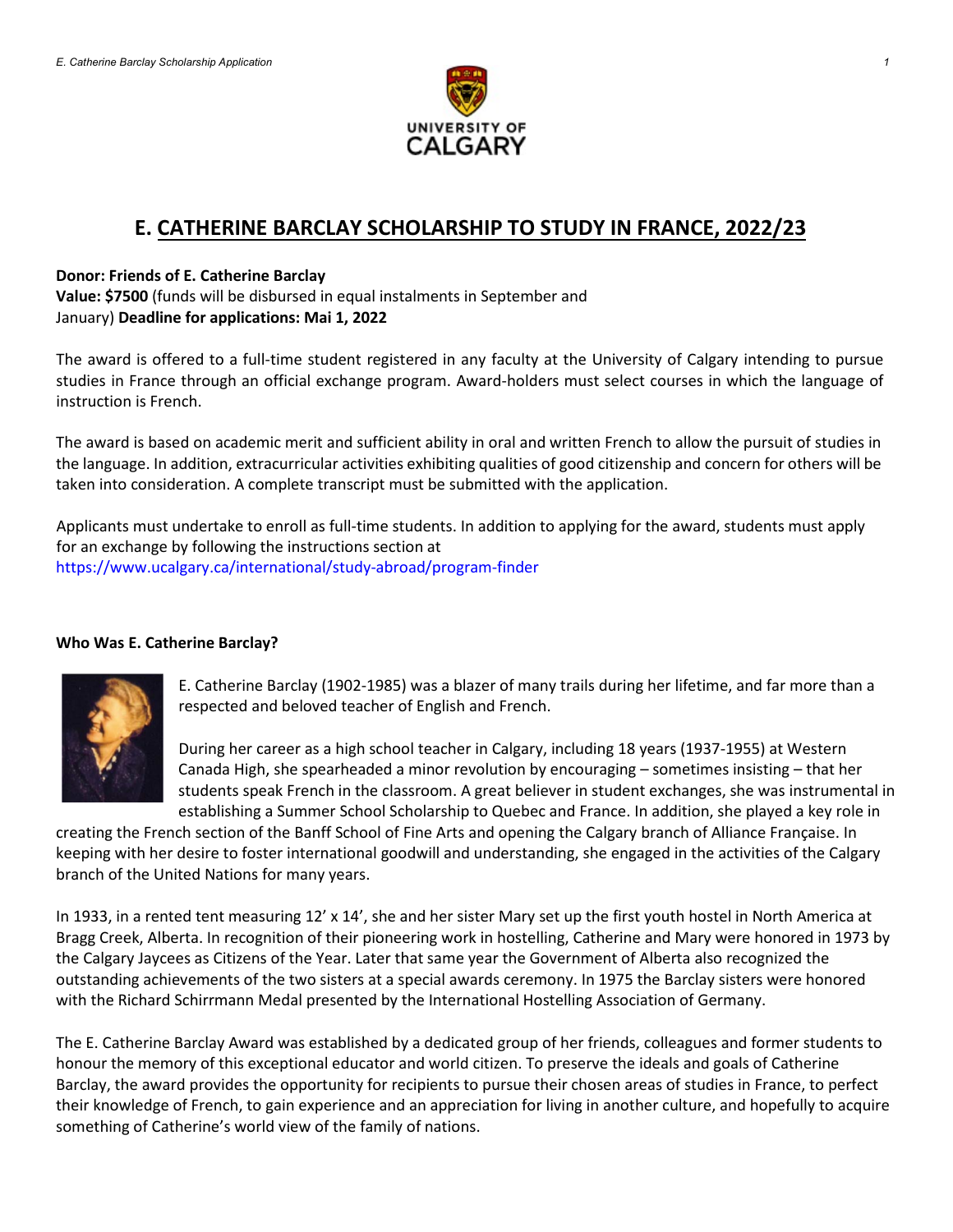

# **E. CATHERINE BARCLAY SCHOLARSHIP TO STUDY IN FRANCE, 2022/23**

#### **Donor: Friends of E. Catherine Barclay**

**Value: \$7500** (funds will be disbursed in equal instalments in September and January) **Deadline for applications: Mai 1, 2022** 

The award is offered to a full-time student registered in any faculty at the University of Calgary intending to pursue studies in France through an official exchange program. Award-holders must select courses in which the language of instruction is French.

The award is based on academic merit and sufficient ability in oral and written French to allow the pursuit of studies in the language. In addition, extracurricular activities exhibiting qualities of good citizenship and concern for others will be taken into consideration. A complete transcript must be submitted with the application.

Applicants must undertake to enroll as full-time students. In addition to applying for the award, students must apply for an exchange by following the instructions section at https://www.ucalgary.ca/international/study-abroad/program-finder

### **Who Was E. Catherine Barclay?**



E. Catherine Barclay (1902-1985) was a blazer of many trails during her lifetime, and far more than a respected and beloved teacher of English and French.

During her career as a high school teacher in Calgary, including 18 years (1937-1955) at Western Canada High, she spearheaded a minor revolution by encouraging – sometimes insisting – that her students speak French in the classroom. A great believer in student exchanges, she was instrumental in establishing a Summer School Scholarship to Quebec and France. In addition, she played a key role in

creating the French section of the Banff School of Fine Arts and opening the Calgary branch of Alliance Française. In keeping with her desire to foster international goodwill and understanding, she engaged in the activities of the Calgary branch of the United Nations for many years.

In 1933, in a rented tent measuring 12' x 14', she and her sister Mary set up the first youth hostel in North America at Bragg Creek, Alberta. In recognition of their pioneering work in hostelling, Catherine and Mary were honored in 1973 by the Calgary Jaycees as Citizens of the Year. Later that same year the Government of Alberta also recognized the outstanding achievements of the two sisters at a special awards ceremony. In 1975 the Barclay sisters were honored with the Richard Schirrmann Medal presented by the International Hostelling Association of Germany.

The E. Catherine Barclay Award was established by a dedicated group of her friends, colleagues and former students to honour the memory of this exceptional educator and world citizen. To preserve the ideals and goals of Catherine Barclay, the award provides the opportunity for recipients to pursue their chosen areas of studies in France, to perfect their knowledge of French, to gain experience and an appreciation for living in another culture, and hopefully to acquire something of Catherine's world view of the family of nations.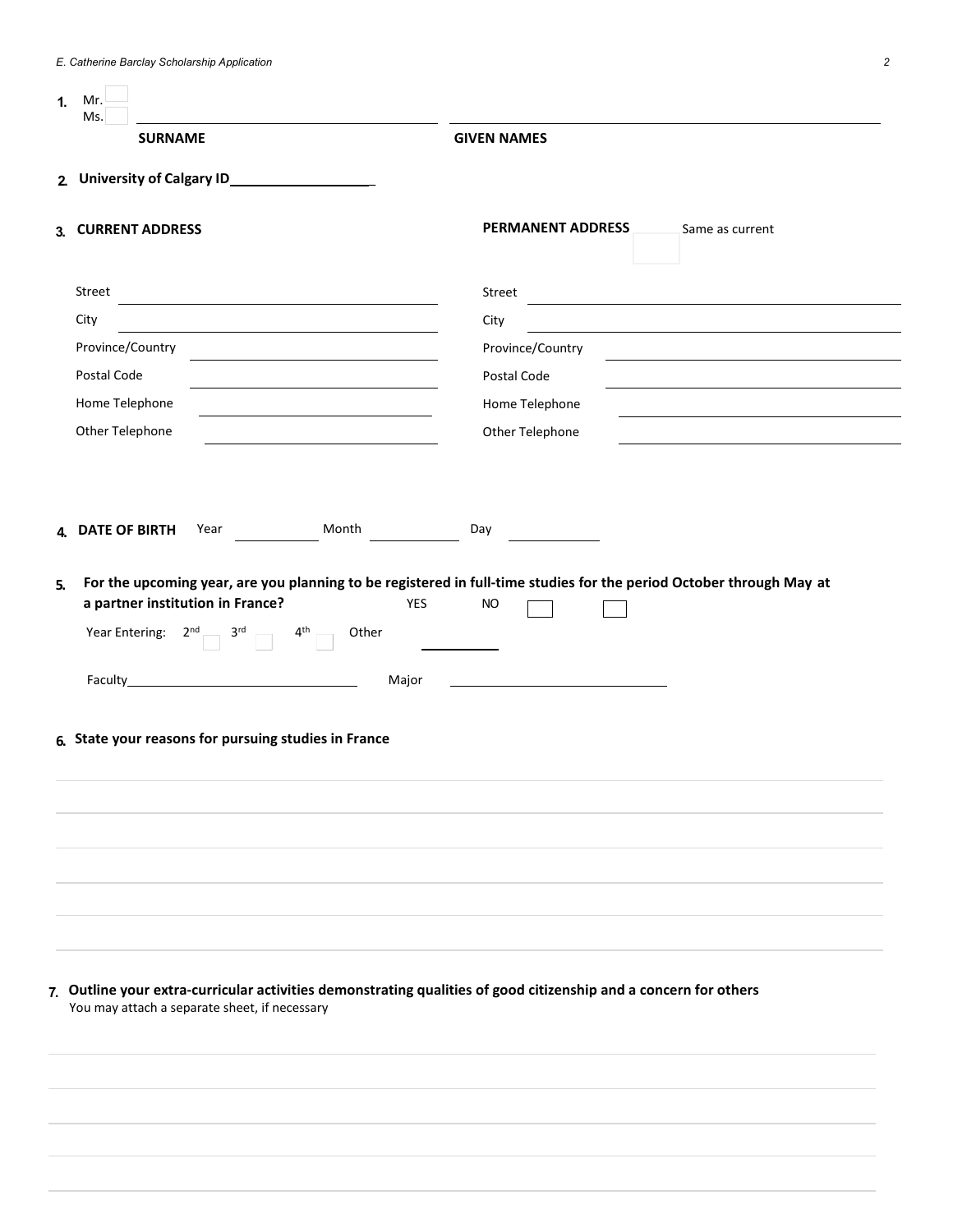| Mr.<br>1.<br>Ms.                                            |                                                                                                                                                |
|-------------------------------------------------------------|------------------------------------------------------------------------------------------------------------------------------------------------|
| <b>SURNAME</b>                                              | <b>GIVEN NAMES</b>                                                                                                                             |
|                                                             |                                                                                                                                                |
| 3. CURRENT ADDRESS                                          | <b>PERMANENT ADDRESS</b><br>Same as current                                                                                                    |
| Street<br><u> 1980 - Andrea Brand, amerikansk politik (</u> | Street                                                                                                                                         |
| City                                                        | City                                                                                                                                           |
| Province/Country                                            | Province/Country                                                                                                                               |
| Postal Code                                                 | Postal Code                                                                                                                                    |
| Home Telephone                                              | Home Telephone                                                                                                                                 |
| Other Telephone                                             | Other Telephone                                                                                                                                |
| Year Month<br><b>DATE OF BIRTH</b><br>4.                    | Day                                                                                                                                            |
| a partner institution in France?                            | For the upcoming year, are you planning to be registered in full-time studies for the period October through May at<br><b>YES</b><br><b>NO</b> |
| Year Entering: $2^{nd}$ $3^{rd}$ $4^{th}$ Other             |                                                                                                                                                |
| Faculty <b>Example 2018</b>                                 | Major<br><u> 1989 - Johann Barbara, martin amerikan basa</u>                                                                                   |
|                                                             |                                                                                                                                                |
|                                                             |                                                                                                                                                |
| 5.<br>6. State your reasons for pursuing studies in France  |                                                                                                                                                |

**7. Outline your extra-curricular activities demonstrating qualities of good citizenship and a concern for others** You may attach a separate sheet, if necessary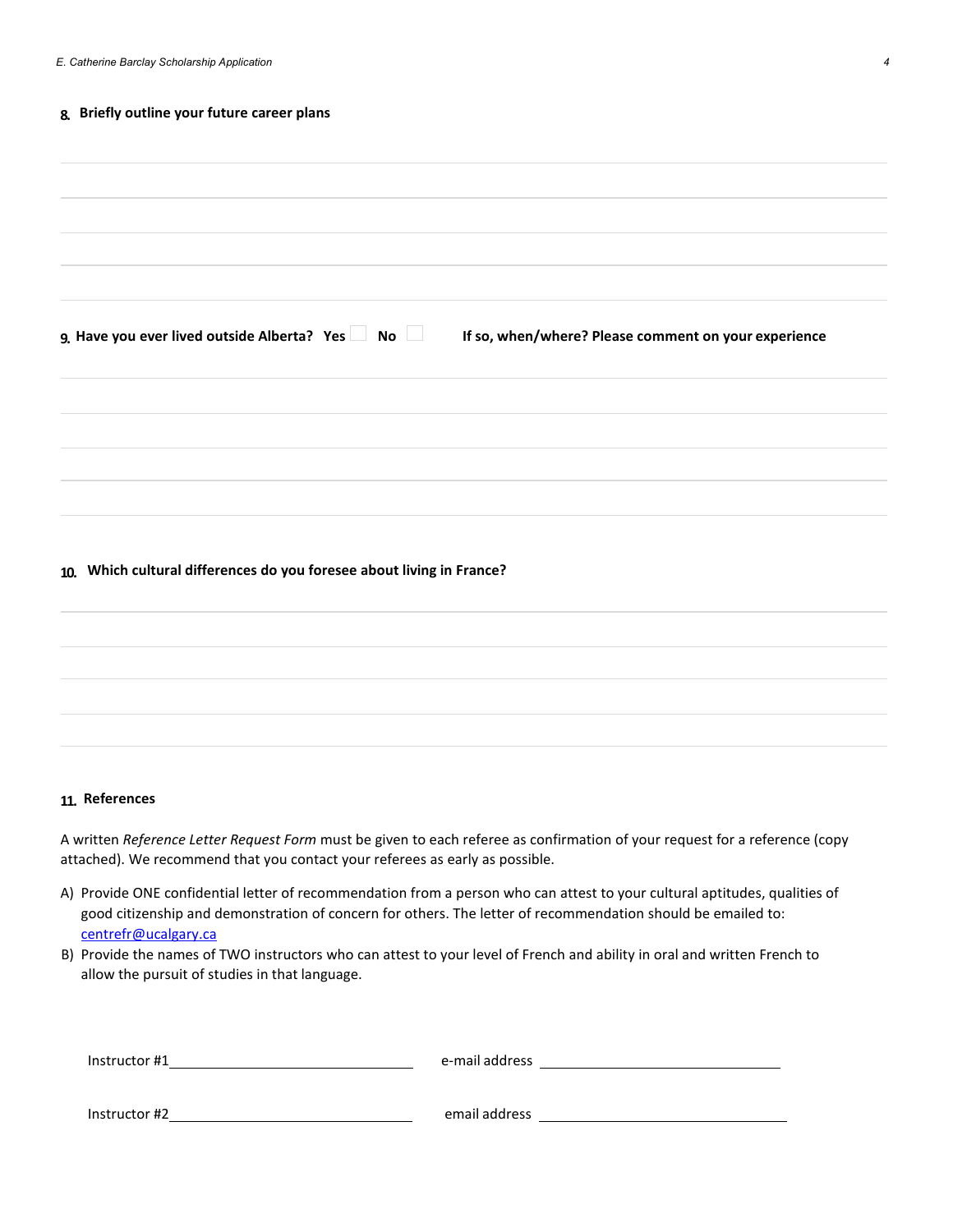#### **8. Briefly outline your future career plans**

| If so, when/where? Please comment on your experience |
|------------------------------------------------------|
|                                                      |
|                                                      |

#### **10. Which cultural differences do you foresee about living in France?**



#### **11. References**

A written *Reference Letter Request Form* must be given to each referee as confirmation of your request for a reference (copy attached). We recommend that you contact your referees as early as possible.

- A) Provide ONE confidential letter of recommendation from a person who can attest to your cultural aptitudes, qualities of good citizenship and demonstration of concern for others. The letter of recommendation should be emailed to: [centrefr@ucalgary.ca](mailto:centrefr@ucalgary.ca?subject=E.Catherine%20Barclay%20Scholarship)
- B) Provide the names of TWO instructors who can attest to your level of French and ability in oral and written French to allow the pursuit of studies in that language.

| Instructor #1 | e-mail address |
|---------------|----------------|
| Instructor #2 | email address  |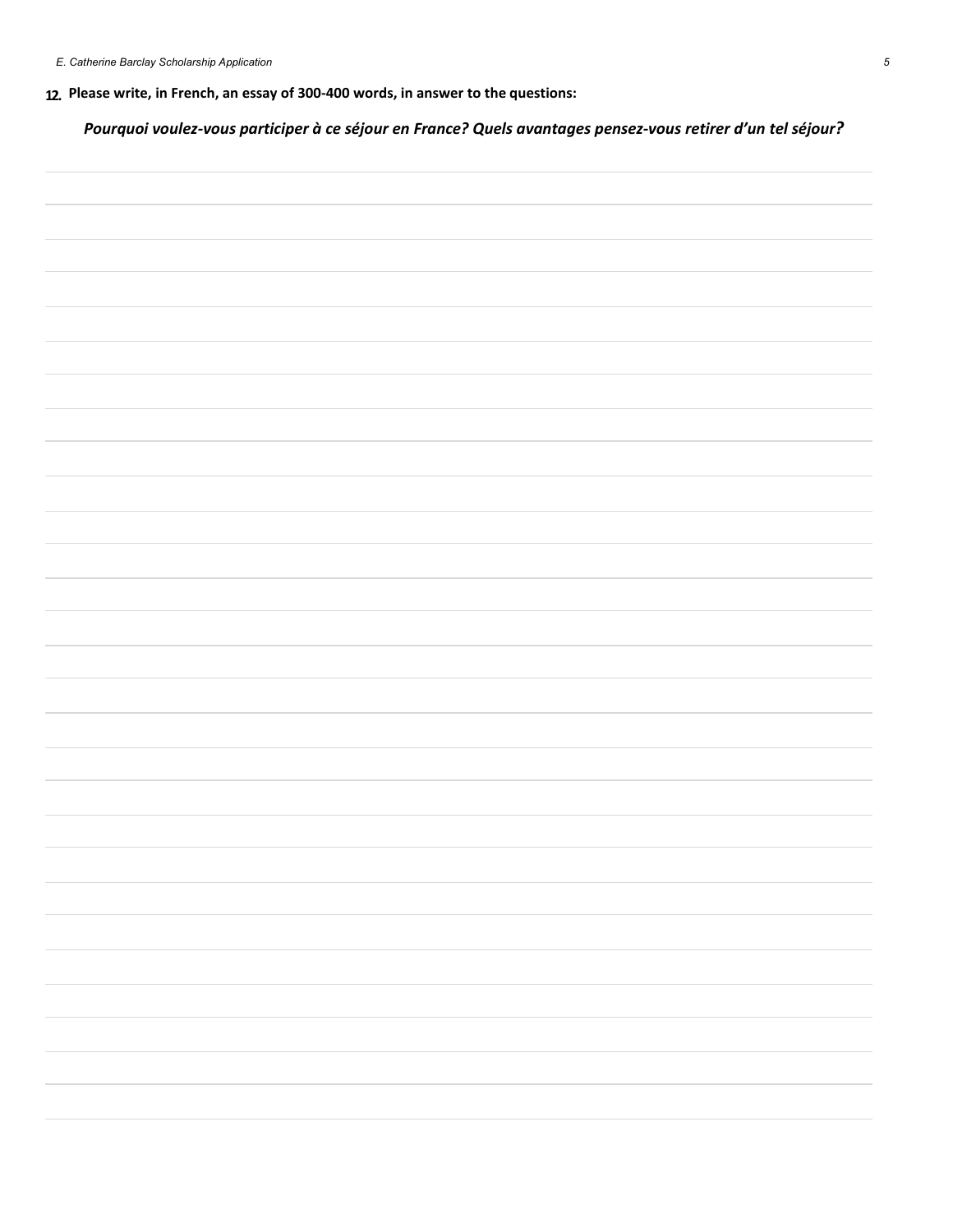**12. Please write, in French, an essay of 300-400 words, in answer to the questions:**

*Pourquoi voulez-vous participer à ce séjour en France? Quels avantages pensez-vous retirer d'un tel séjour?*

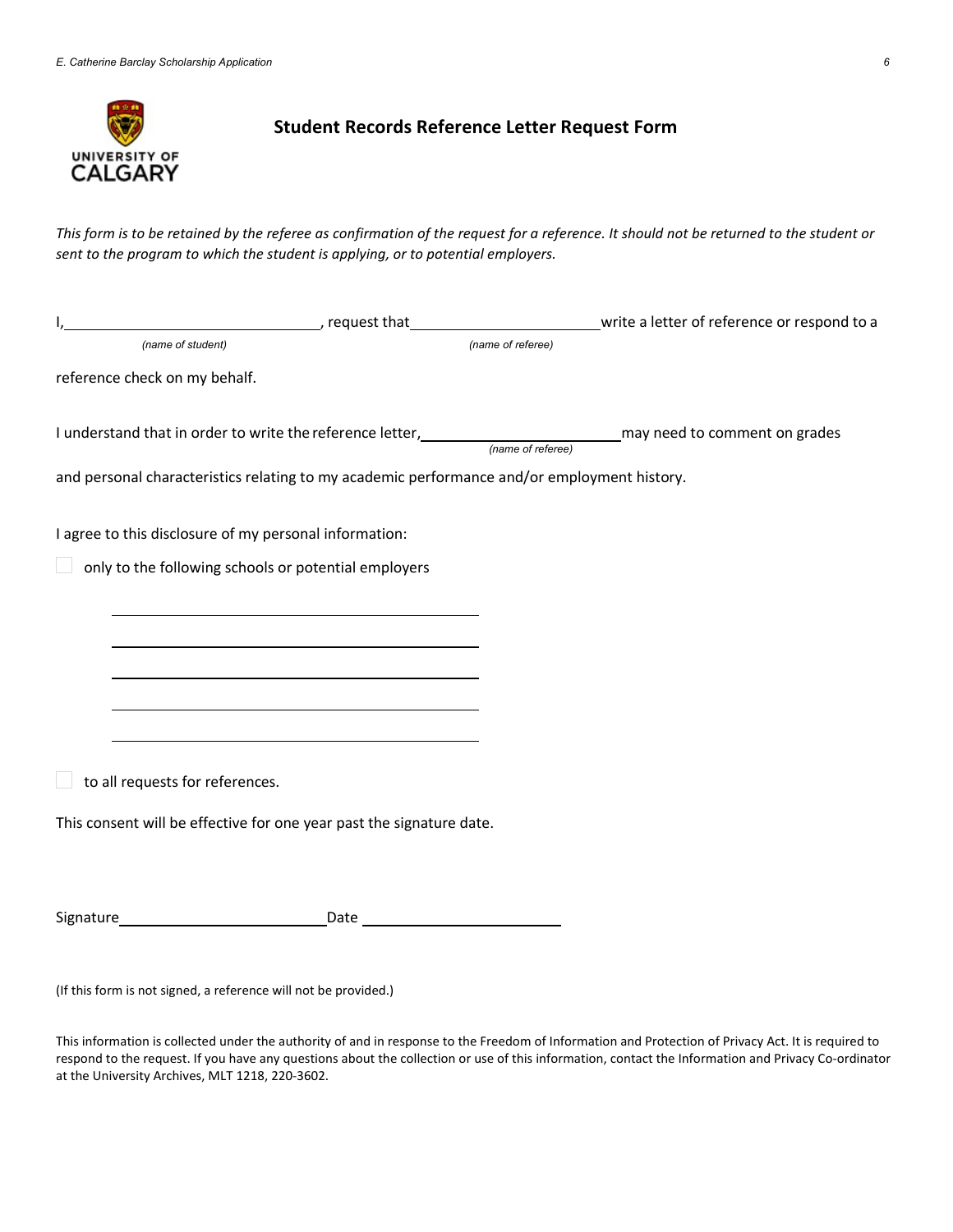

(If this form is not signed, a reference will not be provided.)

This information is collected under the authority of and in response to the Freedom of Information and Protection of Privacy Act. It is required to respond to the request. If you have any questions about the collection or use of this information, contact the Information and Privacy Co-ordinator at the University Archives, MLT 1218, 220-3602.